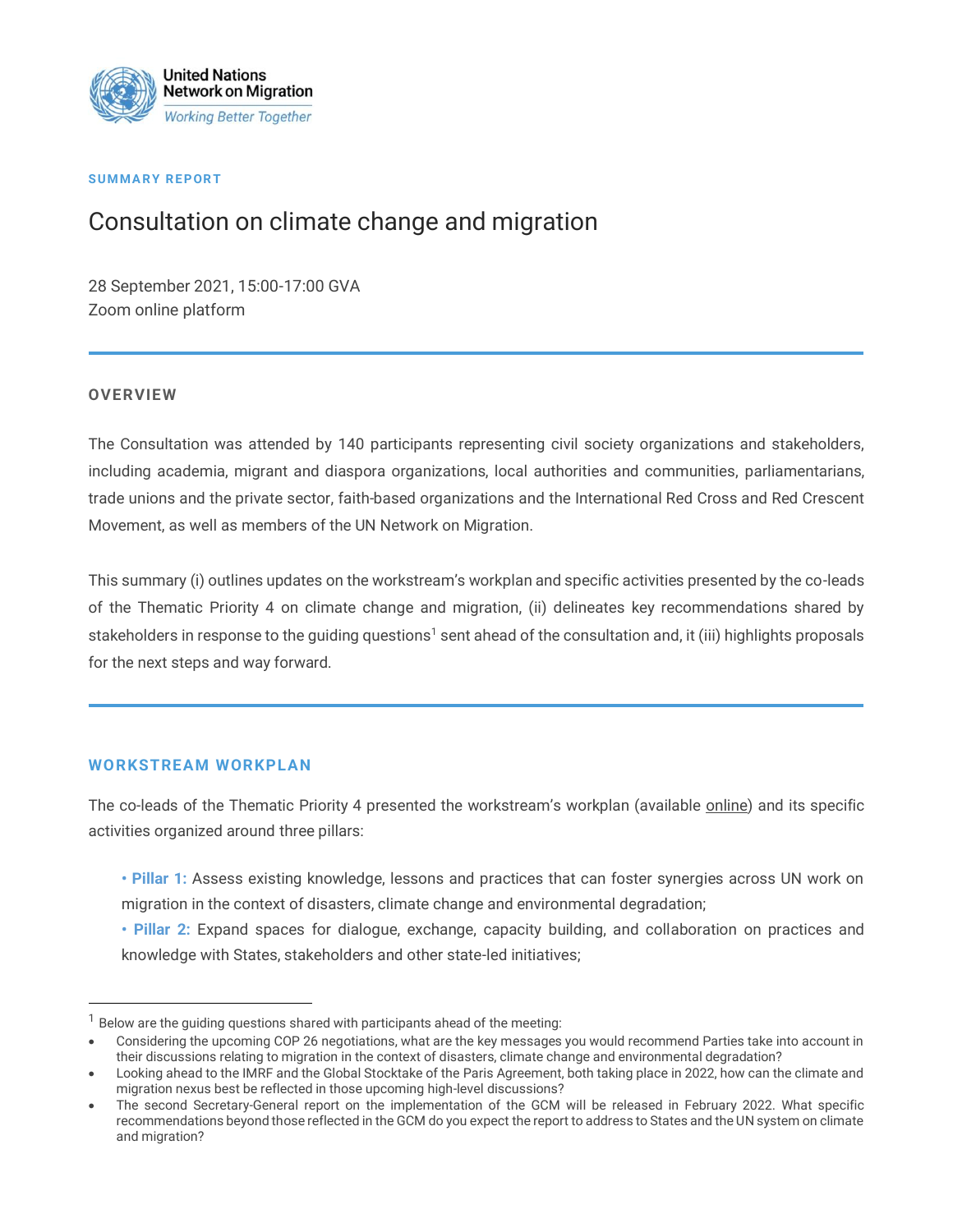

#### **SUMMARY REPORT**

# Consultation on climate change and migration

28 September 2021, 15:00-17:00 GVA Zoom online platform

### **OVERVIEW**

The Consultation was attended by 140 participants representing civil society organizations and stakeholders, including academia, migrant and diaspora organizations, local authorities and communities, parliamentarians, trade unions and the private sector, faith-based organizations and the International Red Cross and Red Crescent Movement, as well as members of the UN Network on Migration.

This summary (i) outlines updates on the workstream's workplan and specific activities presented by the co-leads of the Thematic Priority 4 on climate change and migration, (ii) delineates key recommendations shared by stakeholders in response to the quiding questions<sup>1</sup> sent ahead of the consultation and, it (iii) highlights proposals for the next steps and way forward.

#### **WORKSTREAM WORKPLAN**

The co-leads of the Thematic Priority 4 presented the workstream's workplan (available [online\)](https://migrationnetwork.un.org/resources/workplan-thematic-priority-4-migration-context-disasters-climate-change-and-environmental) and its specific activities organized around three pillars:

- **Pillar 1:** Assess existing knowledge, lessons and practices that can foster synergies across UN work on migration in the context of disasters, climate change and environmental degradation;
- **Pillar 2:** Expand spaces for dialogue, exchange, capacity building, and collaboration on practices and knowledge with States, stakeholders and other state-led initiatives;

 $^1$  Below are the guiding questions shared with participants ahead of the meeting:

<sup>•</sup> Considering the upcoming COP 26 negotiations, what are the key messages you would recommend Parties take into account in their discussions relating to migration in the context of disasters, climate change and environmental degradation?

<sup>•</sup> Looking ahead to the IMRF and the Global Stocktake of the Paris Agreement, both taking place in 2022, how can the climate and migration nexus best be reflected in those upcoming high-level discussions?

<sup>•</sup> The second Secretary-General report on the implementation of the GCM will be released in February 2022. What specific recommendations beyond those reflected in the GCM do you expect the report to address to States and the UN system on climate and migration?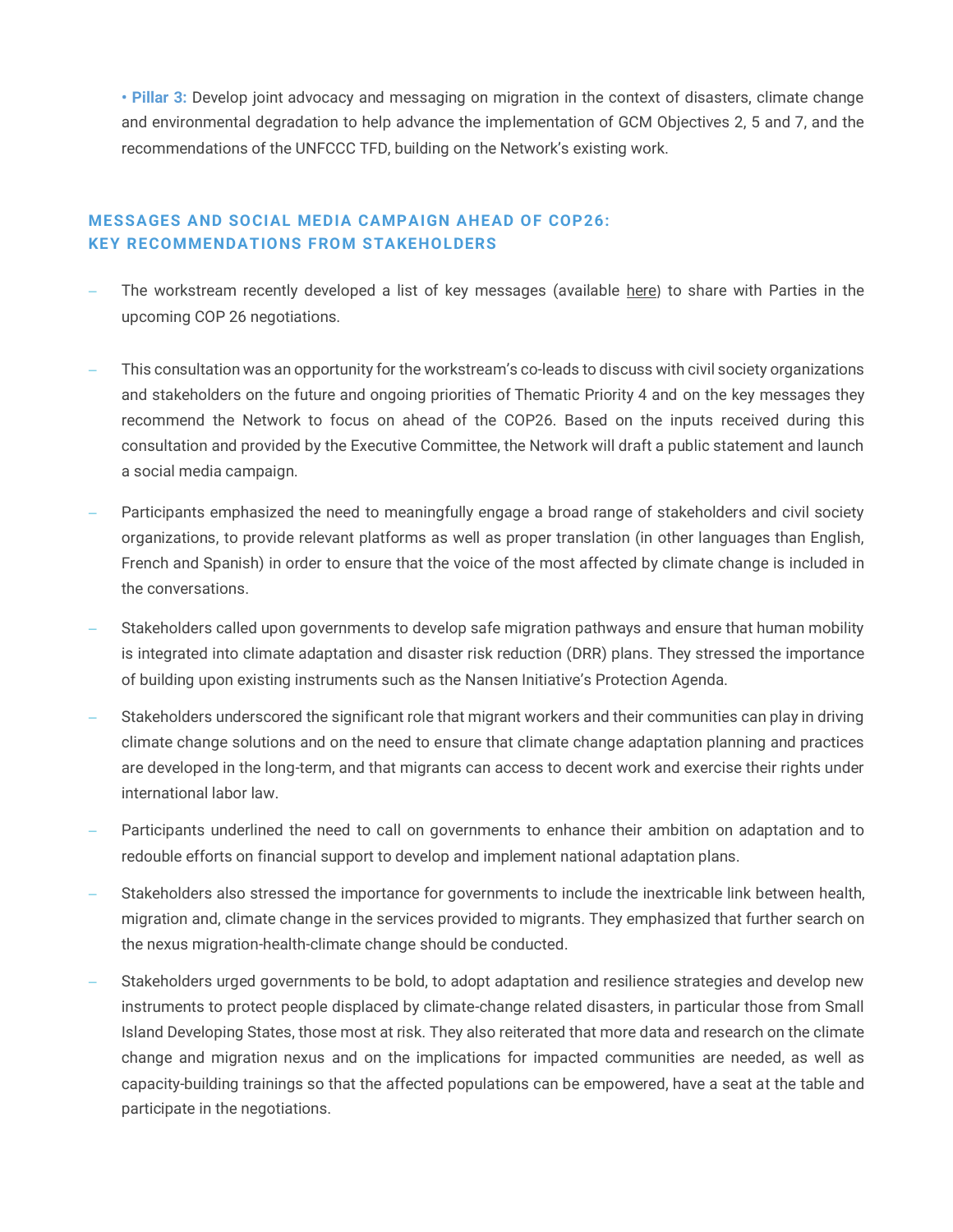**• Pillar 3:** Develop joint advocacy and messaging on migration in the context of disasters, climate change and environmental degradation to help advance the implementation of GCM Objectives 2, 5 and 7, and the recommendations of the UNFCCC TFD, building on the Network's existing work.

## **MESSAGES AND SOCIAL MEDIA CAMPAIGN AHEAD OF COP26: KEY RECOMMENDATIONS FROM STAKEHOLDERS**

- The workstream recently developed a list of key messages (available [here](https://eur02.safelinks.protection.outlook.com/?url=https%3A%2F%2Fmigrationnetwork.us19.list-manage.com%2Ftrack%2Fclick%3Fu%3D91a1d870ca31df83b2b697cf6%26id%3D8633c5684c%26e%3D23b75969a3&data=04%7C01%7Cadefrain%40iom.int%7Ce500012bb0874a72646308d9829beca2%7C1588262d23fb43b4bd6ebce49c8e6186%7C1%7C0%7C637684429847714219%7CUnknown%7CTWFpbGZsb3d8eyJWIjoiMC4wLjAwMDAiLCJQIjoiV2luMzIiLCJBTiI6Ik1haWwiLCJXVCI6Mn0%3D%7C1000&sdata=RZOFDtCR6QrejSA2oLurLkwDtFABGw8y5F7k0BRFx%2BI%3D&reserved=0)) to share with Parties in the upcoming COP 26 negotiations.
- This consultation was an opportunity for the workstream's co-leads to discuss with civil society organizations and stakeholders on the future and ongoing priorities of Thematic Priority 4 and on the key messages they recommend the Network to focus on ahead of the COP26. Based on the inputs received during this consultation and provided by the Executive Committee, the Network will draft a public statement and launch a social media campaign.
- Participants emphasized the need to meaningfully engage a broad range of stakeholders and civil society organizations, to provide relevant platforms as well as proper translation (in other languages than English, French and Spanish) in order to ensure that the voice of the most affected by climate change is included in the conversations.
- Stakeholders called upon governments to develop safe migration pathways and ensure that human mobility is integrated into climate adaptation and disaster risk reduction (DRR) plans. They stressed the importance of building upon existing instruments such as the Nansen Initiative's Protection Agenda.
- Stakeholders underscored the significant role that migrant workers and their communities can play in driving climate change solutions and on the need to ensure that climate change adaptation planning and practices are developed in the long-term, and that migrants can access to decent work and exercise their rights under international labor law.
- − Participants underlined the need to call on governments to enhance their ambition on adaptation and to redouble efforts on financial support to develop and implement national adaptation plans.
- Stakeholders also stressed the importance for governments to include the inextricable link between health, migration and, climate change in the services provided to migrants. They emphasized that further search on the nexus migration-health-climate change should be conducted.
- Stakeholders urged governments to be bold, to adopt adaptation and resilience strategies and develop new instruments to protect people displaced by climate-change related disasters, in particular those from Small Island Developing States, those most at risk. They also reiterated that more data and research on the climate change and migration nexus and on the implications for impacted communities are needed, as well as capacity-building trainings so that the affected populations can be empowered, have a seat at the table and participate in the negotiations.